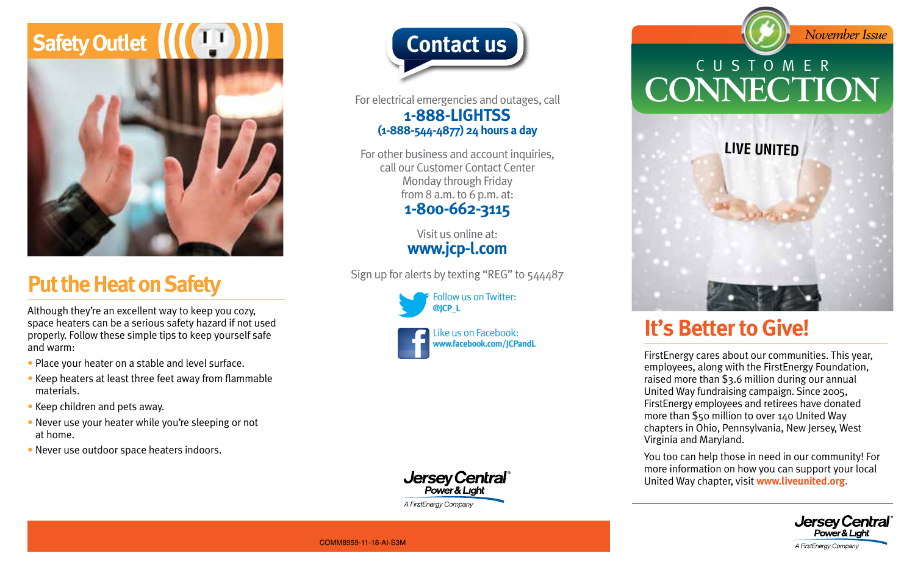

## **Put the Heat on Safety**

Although they're an excellent way to keep you cozy, space heaters can be a serious safety hazard if not used properly. Follow these simple tips to keep yourself safe and warm:

- Place your heater on a stable and level surface.
- Keep heaters at least three feet away from flammable materials.
- Keep children and pets away.
- Never use your heater while you're sleeping or not at home.
- Never use outdoor space heaters indoors.



For electrical emergencies and outages, call **1-888-LIGHTSS (1-888-544-4877) 24 hours a day**

For other business and account inquiries, call our Customer Contact Center Monday through Friday from 8 a.m. to 6 p.m. at: **1-800-662-3115**

> Visit us online at: **www.jcp-l.com**

Sign up for alerts by texting "REG" to 544487

Follow us on Twitter: **@JCP\_L**





**Contact us** *November Issue* CUSTOMER **CONNECTION**



## **It's Better to Give!**

FirstEnergy cares about our communities. This year, employees, along with the FirstEnergy Foundation, raised more than \$3.6 million during our annual United Way fundraising campaign. Since 2005, FirstEnergy employees and retirees have donated more than \$50 million to over 140 United Way chapters in Ohio, Pennsylvania, New Jersey, West Virginia and Maryland.

You too can help those in need in our community! For more information on how you can support your local United Way chapter, visit **www.liveunited.org.**



COMM8959-11-18-AI-S3M